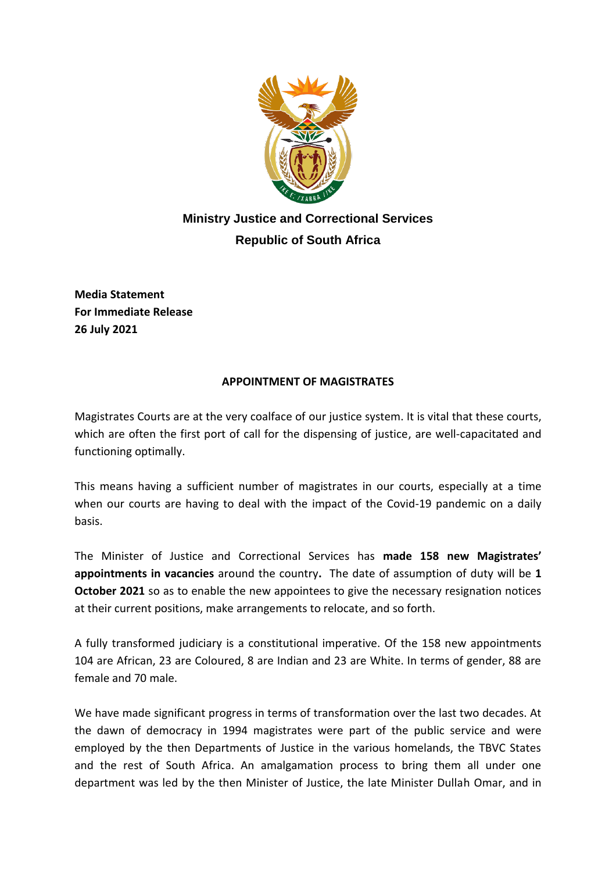

## **Ministry Justice and Correctional Services Republic of South Africa**

**Media Statement For Immediate Release 26 July 2021**

## **APPOINTMENT OF MAGISTRATES**

Magistrates Courts are at the very coalface of our justice system. It is vital that these courts, which are often the first port of call for the dispensing of justice, are well-capacitated and functioning optimally.

This means having a sufficient number of magistrates in our courts, especially at a time when our courts are having to deal with the impact of the Covid-19 pandemic on a daily basis.

The Minister of Justice and Correctional Services has **made 158 new Magistrates' appointments in vacancies** around the country**.** The date of assumption of duty will be **1 October 2021** so as to enable the new appointees to give the necessary resignation notices at their current positions, make arrangements to relocate, and so forth.

A fully transformed judiciary is a constitutional imperative. Of the 158 new appointments 104 are African, 23 are Coloured, 8 are Indian and 23 are White. In terms of gender, 88 are female and 70 male.

We have made significant progress in terms of transformation over the last two decades. At the dawn of democracy in 1994 magistrates were part of the public service and were employed by the then Departments of Justice in the various homelands, the TBVC States and the rest of South Africa. An amalgamation process to bring them all under one department was led by the then Minister of Justice, the late Minister Dullah Omar, and in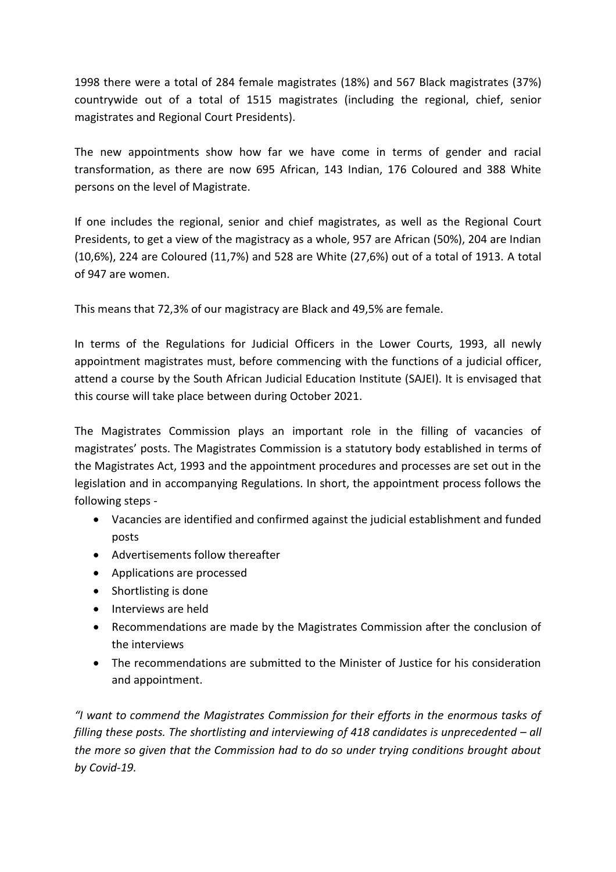1998 there were a total of 284 female magistrates (18%) and 567 Black magistrates (37%) countrywide out of a total of 1515 magistrates (including the regional, chief, senior magistrates and Regional Court Presidents).

The new appointments show how far we have come in terms of gender and racial transformation, as there are now 695 African, 143 Indian, 176 Coloured and 388 White persons on the level of Magistrate.

If one includes the regional, senior and chief magistrates, as well as the Regional Court Presidents, to get a view of the magistracy as a whole, 957 are African (50%), 204 are Indian (10,6%), 224 are Coloured (11,7%) and 528 are White (27,6%) out of a total of 1913. A total of 947 are women.

This means that 72,3% of our magistracy are Black and 49,5% are female.

In terms of the Regulations for Judicial Officers in the Lower Courts, 1993, all newly appointment magistrates must, before commencing with the functions of a judicial officer, attend a course by the South African Judicial Education Institute (SAJEI). It is envisaged that this course will take place between during October 2021.

The Magistrates Commission plays an important role in the filling of vacancies of magistrates' posts. The Magistrates Commission is a statutory body established in terms of the Magistrates Act, 1993 and the appointment procedures and processes are set out in the legislation and in accompanying Regulations. In short, the appointment process follows the following steps -

- Vacancies are identified and confirmed against the judicial establishment and funded posts
- Advertisements follow thereafter
- Applications are processed
- Shortlisting is done
- Interviews are held
- Recommendations are made by the Magistrates Commission after the conclusion of the interviews
- The recommendations are submitted to the Minister of Justice for his consideration and appointment.

*"I want to commend the Magistrates Commission for their efforts in the enormous tasks of filling these posts. The shortlisting and interviewing of 418 candidates is unprecedented – all the more so given that the Commission had to do so under trying conditions brought about by Covid-19.*